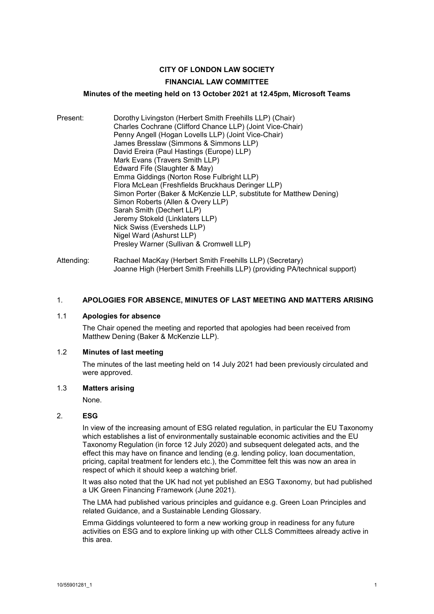# **CITY OF LONDON LAW SOCIETY**

#### **FINANCIAL LAW COMMITTEE**

#### **Minutes of the meeting held on 13 October 2021 at 12.45pm, Microsoft Teams**

| Present: | Dorothy Livingston (Herbert Smith Freehills LLP) (Chair)<br>Charles Cochrane (Clifford Chance LLP) (Joint Vice-Chair)<br>Penny Angell (Hogan Lovells LLP) (Joint Vice-Chair)<br>James Bresslaw (Simmons & Simmons LLP)<br>David Ereira (Paul Hastings (Europe) LLP)<br>Mark Evans (Travers Smith LLP)<br>Edward Fife (Slaughter & May)<br>Emma Giddings (Norton Rose Fulbright LLP)<br>Flora McLean (Freshfields Bruckhaus Deringer LLP)<br>Simon Porter (Baker & McKenzie LLP, substitute for Matthew Dening)<br>Simon Roberts (Allen & Overy LLP)<br>Sarah Smith (Dechert LLP)<br>Jeremy Stokeld (Linklaters LLP)<br>Nick Swiss (Eversheds LLP)<br>Nigel Ward (Ashurst LLP)<br>Presley Warner (Sullivan & Cromwell LLP) |
|----------|---------------------------------------------------------------------------------------------------------------------------------------------------------------------------------------------------------------------------------------------------------------------------------------------------------------------------------------------------------------------------------------------------------------------------------------------------------------------------------------------------------------------------------------------------------------------------------------------------------------------------------------------------------------------------------------------------------------------------|
|          |                                                                                                                                                                                                                                                                                                                                                                                                                                                                                                                                                                                                                                                                                                                           |

Attending: Rachael MacKay (Herbert Smith Freehills LLP) (Secretary) Joanne High (Herbert Smith Freehills LLP) (providing PA/technical support)

### 1. **APOLOGIES FOR ABSENCE, MINUTES OF LAST MEETING AND MATTERS ARISING**

#### 1.1 **Apologies for absence**

The Chair opened the meeting and reported that apologies had been received from Matthew Dening (Baker & McKenzie LLP).

#### 1.2 **Minutes of last meeting**

The minutes of the last meeting held on 14 July 2021 had been previously circulated and were approved.

## 1.3 **Matters arising**

None.

#### 2. **ESG**

In view of the increasing amount of ESG related regulation, in particular the EU Taxonomy which establishes a list of environmentally sustainable economic activities and the EU Taxonomy Regulation (in force 12 July 2020) and subsequent delegated acts, and the effect this may have on finance and lending (e.g. lending policy, loan documentation, pricing, capital treatment for lenders etc.), the Committee felt this was now an area in respect of which it should keep a watching brief.

It was also noted that the UK had not yet published an ESG Taxonomy, but had published a UK Green Financing Framework (June 2021).

The LMA had published various principles and guidance e.g. Green Loan Principles and related Guidance, and a Sustainable Lending Glossary.

Emma Giddings volunteered to form a new working group in readiness for any future activities on ESG and to explore linking up with other CLLS Committees already active in this area.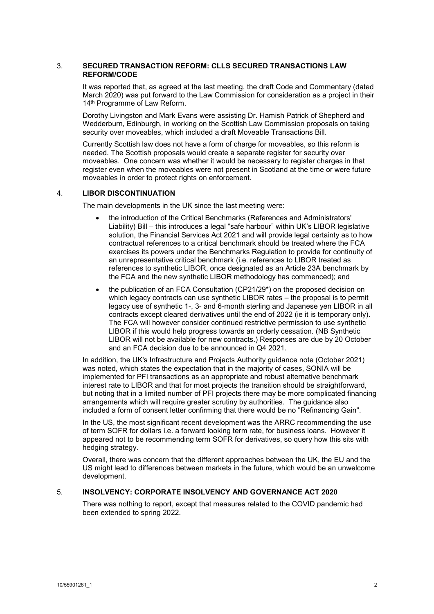#### 3. **SECURED TRANSACTION REFORM: CLLS SECURED TRANSACTIONS LAW REFORM/CODE**

It was reported that, as agreed at the last meeting, the draft Code and Commentary (dated March 2020) was put forward to the Law Commission for consideration as a project in their 14<sup>th</sup> Programme of Law Reform.

Dorothy Livingston and Mark Evans were assisting Dr. Hamish Patrick of Shepherd and Wedderburn, Edinburgh, in working on the Scottish Law Commission proposals on taking security over moveables, which included a draft Moveable Transactions Bill.

Currently Scottish law does not have a form of charge for moveables, so this reform is needed. The Scottish proposals would create a separate register for security over moveables. One concern was whether it would be necessary to register charges in that register even when the moveables were not present in Scotland at the time or were future moveables in order to protect rights on enforcement.

#### 4. **LIBOR DISCONTINUATION**

The main developments in the UK since the last meeting were:

- the introduction of the Critical Benchmarks (References and Administrators' Liability) Bill – this introduces a legal "safe harbour" within UK's LIBOR legislative solution, the Financial Services Act 2021 and will provide legal certainty as to how contractual references to a critical benchmark should be treated where the FCA exercises its powers under the Benchmarks Regulation to provide for continuity of an unrepresentative critical benchmark (i.e. references to LIBOR treated as references to synthetic LIBOR, once designated as an Article 23A benchmark by the FCA and the new synthetic LIBOR methodology has commenced); and
- the publication of an FCA Consultation (CP21/29\*) on the proposed decision on which legacy contracts can use synthetic LIBOR rates – the proposal is to permit legacy use of synthetic 1-, 3- and 6-month sterling and Japanese yen LIBOR in all contracts except cleared derivatives until the end of 2022 (ie it is temporary only). The FCA will however consider continued restrictive permission to use synthetic LIBOR if this would help progress towards an orderly cessation. (NB Synthetic LIBOR will not be available for new contracts.) Responses are due by 20 October and an FCA decision due to be announced in Q4 2021.

In addition, the UK's Infrastructure and Projects Authority guidance note (October 2021) was noted, which states the expectation that in the majority of cases, SONIA will be implemented for PFI transactions as an appropriate and robust alternative benchmark interest rate to LIBOR and that for most projects the transition should be straightforward, but noting that in a limited number of PFI projects there may be more complicated financing arrangements which will require greater scrutiny by authorities. The guidance also included a form of consent letter confirming that there would be no "Refinancing Gain".

In the US, the most significant recent development was the ARRC recommending the use of term SOFR for dollars i.e. a forward looking term rate, for business loans. However it appeared not to be recommending term SOFR for derivatives, so query how this sits with hedging strategy.

Overall, there was concern that the different approaches between the UK, the EU and the US might lead to differences between markets in the future, which would be an unwelcome development.

### 5. **INSOLVENCY: CORPORATE INSOLVENCY AND GOVERNANCE ACT 2020**

There was nothing to report, except that measures related to the COVID pandemic had been extended to spring 2022.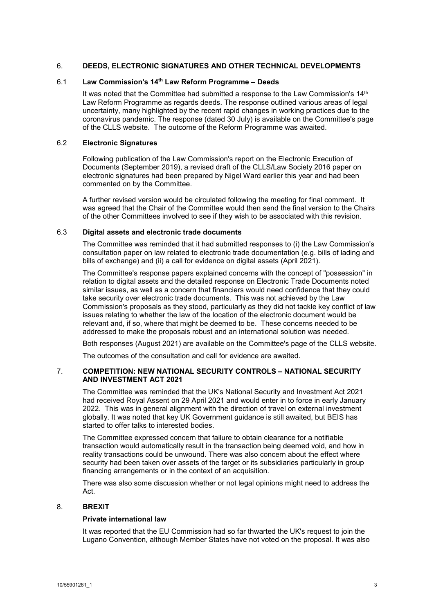#### 6. **DEEDS, ELECTRONIC SIGNATURES AND OTHER TECHNICAL DEVELOPMENTS**

### 6.1 **Law Commission's 14th Law Reform Programme – Deeds**

It was noted that the Committee had submitted a response to the Law Commission's  $14<sup>th</sup>$ Law Reform Programme as regards deeds. The response outlined various areas of legal uncertainty, many highlighted by the recent rapid changes in working practices due to the coronavirus pandemic. The response (dated 30 July) is available on the Committee's page of the CLLS website. The outcome of the Reform Programme was awaited.

### 6.2 **Electronic Signatures**

Following publication of the Law Commission's report on the Electronic Execution of Documents (September 2019), a revised draft of the CLLS/Law Society 2016 paper on electronic signatures had been prepared by Nigel Ward earlier this year and had been commented on by the Committee.

A further revised version would be circulated following the meeting for final comment. It was agreed that the Chair of the Committee would then send the final version to the Chairs of the other Committees involved to see if they wish to be associated with this revision.

#### 6.3 **Digital assets and electronic trade documents**

The Committee was reminded that it had submitted responses to (i) the Law Commission's consultation paper on law related to electronic trade documentation (e.g. bills of lading and bills of exchange) and (ii) a call for evidence on digital assets (April 2021).

The Committee's response papers explained concerns with the concept of "possession" in relation to digital assets and the detailed response on Electronic Trade Documents noted similar issues, as well as a concern that financiers would need confidence that they could take security over electronic trade documents. This was not achieved by the Law Commission's proposals as they stood, particularly as they did not tackle key conflict of law issues relating to whether the law of the location of the electronic document would be relevant and, if so, where that might be deemed to be. These concerns needed to be addressed to make the proposals robust and an international solution was needed.

Both responses (August 2021) are available on the Committee's page of the CLLS website.

The outcomes of the consultation and call for evidence are awaited.

### 7. **COMPETITION: NEW NATIONAL SECURITY CONTROLS – NATIONAL SECURITY AND INVESTMENT ACT 2021**

The Committee was reminded that the UK's National Security and Investment Act 2021 had received Royal Assent on 29 April 2021 and would enter in to force in early January 2022. This was in general alignment with the direction of travel on external investment globally. It was noted that key UK Government guidance is still awaited, but BEIS has started to offer talks to interested bodies.

The Committee expressed concern that failure to obtain clearance for a notifiable transaction would automatically result in the transaction being deemed void, and how in reality transactions could be unwound. There was also concern about the effect where security had been taken over assets of the target or its subsidiaries particularly in group financing arrangements or in the context of an acquisition.

There was also some discussion whether or not legal opinions might need to address the Act.

### 8. **BREXIT**

#### **Private international law**

It was reported that the EU Commission had so far thwarted the UK's request to join the Lugano Convention, although Member States have not voted on the proposal. It was also